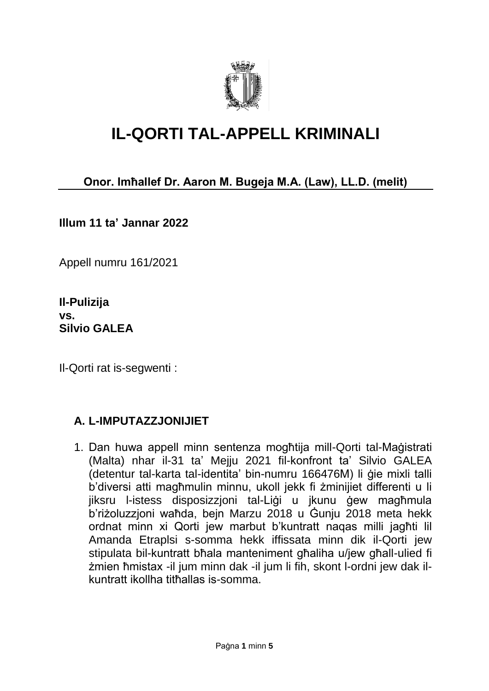

## **IL-QORTI TAL-APPELL KRIMINALI**

### **Onor. Imħallef Dr. Aaron M. Bugeja M.A. (Law), LL.D. (melit)**

**Illum 11 ta' Jannar 2022**

Appell numru 161/2021

**Il-Pulizija vs. Silvio GALEA**

Il-Qorti rat is-segwenti :

#### **A. L-IMPUTAZZJONIJIET**

1. Dan huwa appell minn sentenza mogħtija mill-Qorti tal-Maġistrati (Malta) nhar il-31 ta' Mejju 2021 fil-konfront ta' Silvio GALEA (detentur tal-karta tal-identita' bin-numru 166476M) li ġie mixli talli b'diversi atti magħmulin minnu, ukoll jekk fi żminijiet differenti u li jiksru l-istess disposizzjoni tal-Liġi u jkunu ġew magħmula b'riżoluzzjoni waħda, bejn Marzu 2018 u Ġunju 2018 meta hekk ordnat minn xi Qorti jew marbut b'kuntratt naqas milli jagħti lil Amanda Etraplsi s-somma hekk iffissata minn dik il-Qorti jew stipulata bil-kuntratt bħala manteniment għaliha u/jew għall-ulied fi żmien ħmistax -il jum minn dak -il jum li fih, skont l-ordni jew dak ilkuntratt ikollha titħallas is-somma.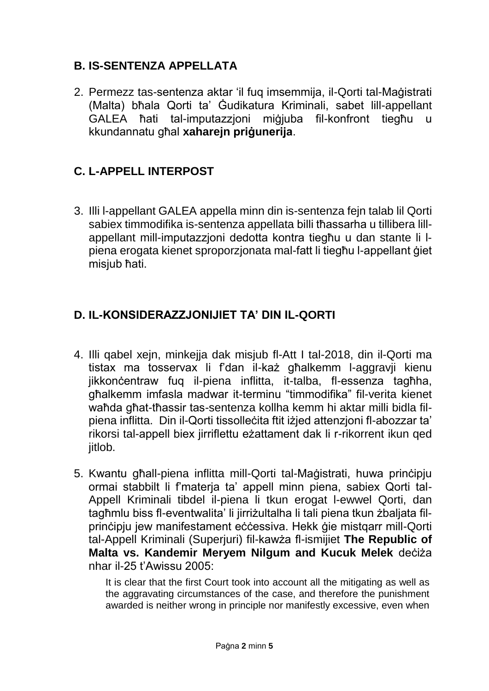### **B. IS-SENTENZA APPELLATA**

2. Permezz tas-sentenza aktar 'il fuq imsemmija, il-Qorti tal-Maġistrati (Malta) bħala Qorti ta' Ġudikatura Kriminali, sabet lill-appellant GALEA ħati tal-imputazzjoni miġjuba fil-konfront tiegħu u kkundannatu għal **xaharejn priġunerija**.

### **C. L-APPELL INTERPOST**

3. Illi l-appellant GALEA appella minn din is-sentenza fejn talab lil Qorti sabiex timmodifika is-sentenza appellata billi tħassarha u tillibera lillappellant mill-imputazzjoni dedotta kontra tiegħu u dan stante li lpiena erogata kienet sproporzjonata mal-fatt li tiegħu l-appellant ġiet misjub ħati.

### **D. IL-KONSIDERAZZJONIJIET TA' DIN IL-QORTI**

- 4. Illi qabel xejn, minkejja dak misjub fl-Att I tal-2018, din il-Qorti ma tistax ma tosservax li f'dan il-każ għalkemm l-aggravji kienu jikkonċentraw fuq il-piena inflitta, it-talba, fl-essenza tagħha, għalkemm imfasla madwar it-terminu "timmodifika" fil-verita kienet waħda għat-tħassir tas-sentenza kollha kemm hi aktar milli bidla filpiena inflitta. Din il-Qorti tissolleċita ftit iżjed attenzjoni fl-abozzar ta' rikorsi tal-appell biex jirriflettu eżattament dak li r-rikorrent ikun qed jitlob.
- 5. Kwantu għall-piena inflitta mill-Qorti tal-Maġistrati, huwa prinċipju ormai stabbilt li f'materja ta' appell minn piena, sabiex Qorti tal-Appell Kriminali tibdel il-piena li tkun erogat l-ewwel Qorti, dan tagħmlu biss fl-eventwalita' li jirriżultalha li tali piena tkun żbaljata filprincipiu jew manifestament eċċessiva. Hekk ģie mistgarr mill-Qorti tal-Appell Kriminali (Superjuri) fil-kawża fl-ismijiet **The Republic of Malta vs. Kandemir Meryem Nilgum and Kucuk Melek** deċiża nhar il-25 t'Awissu 2005:

It is clear that the first Court took into account all the mitigating as well as the aggravating circumstances of the case, and therefore the punishment awarded is neither wrong in principle nor manifestly excessive, even when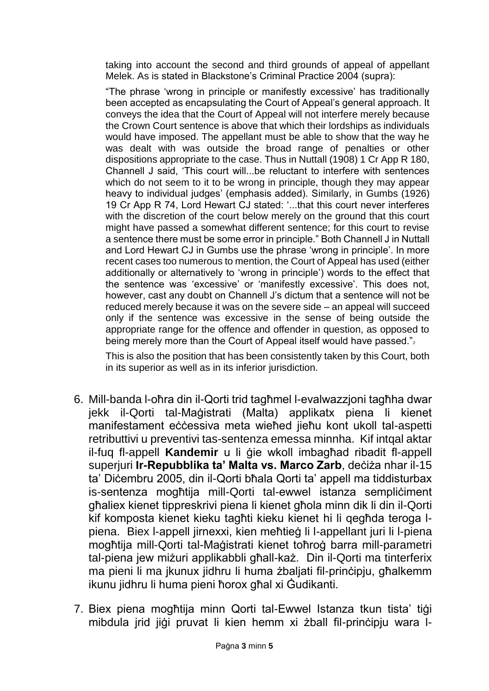taking into account the second and third grounds of appeal of appellant Melek. As is stated in Blackstone's Criminal Practice 2004 (supra):

"The phrase 'wrong in principle or manifestly excessive' has traditionally been accepted as encapsulating the Court of Appeal's general approach. It conveys the idea that the Court of Appeal will not interfere merely because the Crown Court sentence is above that which their lordships as individuals would have imposed. The appellant must be able to show that the way he was dealt with was outside the broad range of penalties or other dispositions appropriate to the case. Thus in Nuttall (1908) 1 Cr App R 180, Channell J said, 'This court will...be reluctant to interfere with sentences which do not seem to it to be wrong in principle, though they may appear heavy to individual judges' (emphasis added). Similarly, in Gumbs (1926) 19 Cr App R 74, Lord Hewart CJ stated: '...that this court never interferes with the discretion of the court below merely on the ground that this court might have passed a somewhat different sentence; for this court to revise a sentence there must be some error in principle." Both Channell J in Nuttall and Lord Hewart CJ in Gumbs use the phrase 'wrong in principle'. In more recent cases too numerous to mention, the Court of Appeal has used (either additionally or alternatively to 'wrong in principle') words to the effect that the sentence was 'excessive' or 'manifestly excessive'. This does not, however, cast any doubt on Channell J's dictum that a sentence will not be reduced merely because it was on the severe side – an appeal will succeed only if the sentence was excessive in the sense of being outside the appropriate range for the offence and offender in question, as opposed to being merely more than the Court of Appeal itself would have passed."

This is also the position that has been consistently taken by this Court, both in its superior as well as in its inferior jurisdiction.

- 6. Mill-banda l-oħra din il-Qorti trid tagħmel l-evalwazzjoni tagħha dwar jekk il-Qorti tal-Maġistrati (Malta) applikatx piena li kienet manifestament eċċessiva meta wieħed jieħu kont ukoll tal-aspetti retributtivi u preventivi tas-sentenza emessa minnha. Kif intqal aktar il-fuq fl-appell **Kandemir** u li ġie wkoll imbagħad ribadit fl-appell superjuri **Ir-Repubblika ta' Malta vs. Marco Zarb**, deċiża nhar il-15 ta' Diċembru 2005, din il-Qorti bħala Qorti ta' appell ma tiddisturbax is-sentenza moghtija mill-Qorti tal-ewwel istanza sempliciment għaliex kienet tippreskrivi piena li kienet għola minn dik li din il-Qorti kif komposta kienet kieku tagħti kieku kienet hi li qegħda teroga lpiena. Biex l-appell jirnexxi, kien meħtieġ li l-appellant juri li l-piena mogħtija mill-Qorti tal-Maġistrati kienet toħroġ barra mill-parametri tal-piena jew miżuri applikabbli għall-każ. Din il-Qorti ma tinterferix ma pieni li ma jkunux jidhru li huma żbaljati fil-prinċipju, għalkemm ikunu jidhru li huma pieni ħorox għal xi Ġudikanti.
- 7. Biex piena mogħtija minn Qorti tal-Ewwel Istanza tkun tista' tiġi mibdula jrid jiġi pruvat li kien hemm xi żball fil-prinċipju wara l-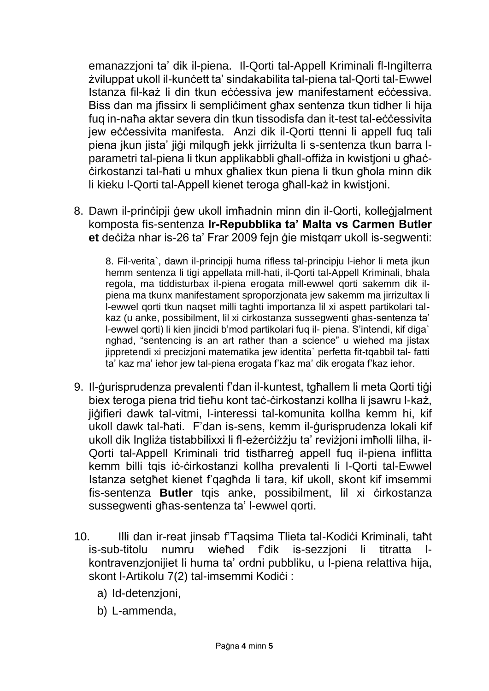emanazzjoni ta' dik il-piena. Il-Qorti tal-Appell Kriminali fl-Ingilterra żviluppat ukoll il-kunċett ta' sindakabilita tal-piena tal-Qorti tal-Ewwel Istanza fil-każ li din tkun eċċessiva jew manifestament eċċessiva. Biss dan ma jfissirx li sempliċiment għax sentenza tkun tidher li hija fuq in-naħa aktar severa din tkun tissodisfa dan it-test tal-eċċessivita jew eċċessivita manifesta. Anzi dik il-Qorti ttenni li appell fuq tali piena jkun jista' jiġi milqugħ jekk jirriżulta li s-sentenza tkun barra lparametri tal-piena li tkun applikabbli għall-offiża in kwistjoni u għaċċirkostanzi tal-ħati u mhux għaliex tkun piena li tkun għola minn dik li kieku l-Qorti tal-Appell kienet teroga għall-każ in kwistjoni.

8. Dawn il-prinċipji ġew ukoll imħadnin minn din il-Qorti, kolleġjalment komposta fis-sentenza **Ir-Repubblika ta' Malta vs Carmen Butler et** deċiża nhar is-26 ta' Frar 2009 fejn ġie mistqarr ukoll is-segwenti:

8. Fil-verita`, dawn il-principji huma rifless tal-principju l-iehor li meta jkun hemm sentenza li tigi appellata mill-hati, il-Qorti tal-Appell Kriminali, bhala regola, ma tiddisturbax il-piena erogata mill-ewwel qorti sakemm dik ilpiena ma tkunx manifestament sproporzjonata jew sakemm ma jirrizultax li l-ewwel qorti tkun naqset milli taghti importanza lil xi aspett partikolari talkaz (u anke, possibilment, lil xi cirkostanza sussegwenti ghas-sentenza ta' l-ewwel qorti) li kien jincidi b'mod partikolari fuq il- piena. S'intendi, kif diga` nghad, "sentencing is an art rather than a science" u wiehed ma jistax jippretendi xi precizjoni matematika jew identita` perfetta fit-tqabbil tal- fatti ta' kaz ma' iehor jew tal-piena erogata f'kaz ma' dik erogata f'kaz iehor.

- 9. Il-ġurisprudenza prevalenti f'dan il-kuntest, tgħallem li meta Qorti tiġi biex teroga piena trid tieħu kont taċ-ċirkostanzi kollha li jsawru l-każ, jiġifieri dawk tal-vitmi, l-interessi tal-komunita kollha kemm hi, kif ukoll dawk tal-ħati. F'dan is-sens, kemm il-ġurisprudenza lokali kif ukoll dik Ingliża tistabbilixxi li fl-eżerċiżżju ta' reviżjoni imħolli lilha, il-Qorti tal-Appell Kriminali trid tistħarreġ appell fuq il-piena inflitta kemm billi tqis iċ-ċirkostanzi kollha prevalenti li l-Qorti tal-Ewwel Istanza setgħet kienet f'qagħda li tara, kif ukoll, skont kif imsemmi fis-sentenza **Butler** tqis anke, possibilment, lil xi ċirkostanza sussegwenti għas-sentenza ta' l-ewwel qorti.
- 10. Illi dan ir-reat jinsab f'Taqsima Tlieta tal-Kodiċi Kriminali, taħt is-sub-titolu numru wieħed f'dik is-sezzjoni li titratta lkontravenzjonijiet li huma ta' ordni pubbliku, u l-piena relattiva hija, skont l-Artikolu 7(2) tal-imsemmi Kodići :
	- a) Id-detenzjoni,
	- b) L-ammenda,